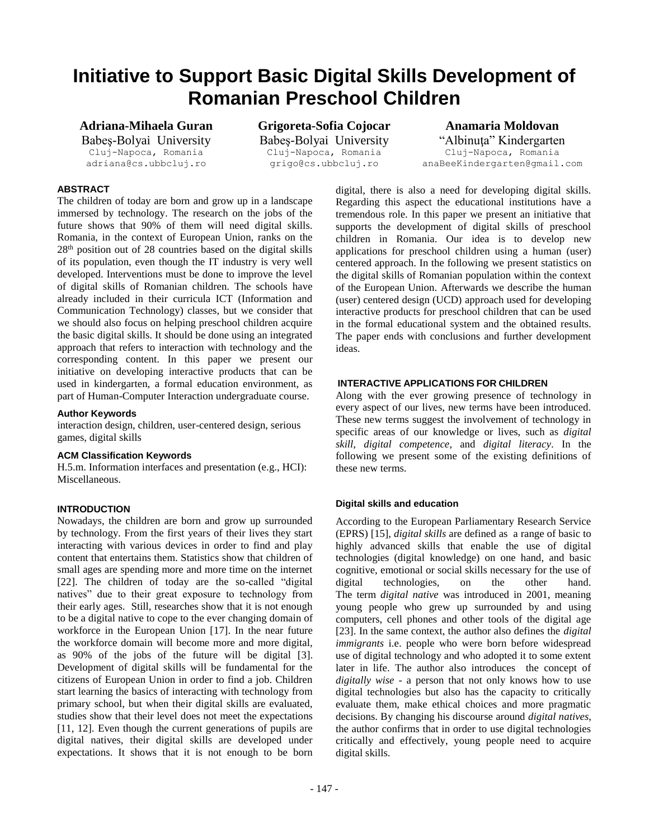# **Initiative to Support Basic Digital Skills Development of Romanian Preschool Children**

**Adriana-Mihaela Guran**

Babeş-Bolyai University Cluj-Napoca, Romania adriana@cs.ubbcluj.ro

**Grigoreta-Sofia Cojocar** Babeş-Bolyai University Cluj-Napoca, Romania grigo@cs.ubbcluj.ro

### **Anamaria Moldovan** "Albinuţa" Kindergarten Cluj-Napoca, Romania anaBeeKindergarten@gmail.com

# **ABSTRACT**

The children of today are born and grow up in a landscape immersed by technology. The research on the jobs of the future shows that 90% of them will need digital skills. Romania, in the context of European Union, ranks on the 28th position out of 28 countries based on the digital skills of its population, even though the IT industry is very well developed. Interventions must be done to improve the level of digital skills of Romanian children. The schools have already included in their curricula ICT (Information and Communication Technology) classes, but we consider that we should also focus on helping preschool children acquire the basic digital skills. It should be done using an integrated approach that refers to interaction with technology and the corresponding content. In this paper we present our initiative on developing interactive products that can be used in kindergarten, a formal education environment, as part of Human-Computer Interaction undergraduate course.

## **Author Keywords**

interaction design, children, user-centered design, serious games, digital skills

## **ACM Classification Keywords**

H.5.m. Information interfaces and presentation (e.g., HCI): Miscellaneous.

## **INTRODUCTION**

Nowadays, the children are born and grow up surrounded by technology. From the first years of their lives they start interacting with various devices in order to find and play content that entertains them. Statistics show that children of small ages are spending more and more time on the internet [22]. The children of today are the so-called "digital natives" due to their great exposure to technology from their early ages. Still, researches show that it is not enough to be a digital native to cope to the ever changing domain of workforce in the European Union [17]. In the near future the workforce domain will become more and more digital, as 90% of the jobs of the future will be digital [3]. Development of digital skills will be fundamental for the citizens of European Union in order to find a job. Children start learning the basics of interacting with technology from primary school, but when their digital skills are evaluated, studies show that their level does not meet the expectations [11, 12]. Even though the current generations of pupils are digital natives, their digital skills are developed under expectations. It shows that it is not enough to be born

digital, there is also a need for developing digital skills. Regarding this aspect the educational institutions have a tremendous role. In this paper we present an initiative that supports the development of digital skills of preschool children in Romania. Our idea is to develop new applications for preschool children using a human (user) centered approach. In the following we present statistics on the digital skills of Romanian population within the context of the European Union. Afterwards we describe the human (user) centered design (UCD) approach used for developing interactive products for preschool children that can be used in the formal educational system and the obtained results. The paper ends with conclusions and further development ideas.

## **INTERACTIVE APPLICATIONS FOR CHILDREN**

Along with the ever growing presence of technology in every aspect of our lives, new terms have been introduced. These new terms suggest the involvement of technology in specific areas of our knowledge or lives, such as *digital skill*, *digital competence*, and *digital literacy*. In the following we present some of the existing definitions of these new terms.

## **Digital skills and education**

According to the European Parliamentary Research Service (EPRS) [15], *digital skills* are defined as a range of basic to highly advanced skills that enable the use of digital technologies (digital knowledge) on one hand, and basic cognitive, emotional or social skills necessary for the use of digital technologies, on the other hand. The term *digital native* was introduced in 2001, meaning young people who grew up surrounded by and using computers, cell phones and other tools of the digital age [23]. In the same context, the author also defines the *digital immigrants* i.e. people who were born before widespread use of digital technology and who adopted it to some extent later in life. The author also introduces the concept of *digitally wise* - a person that not only knows how to use digital technologies but also has the capacity to critically evaluate them, make ethical choices and more pragmatic decisions. By changing his discourse around *digital natives*, the author confirms that in order to use digital technologies critically and effectively, young people need to acquire digital skills.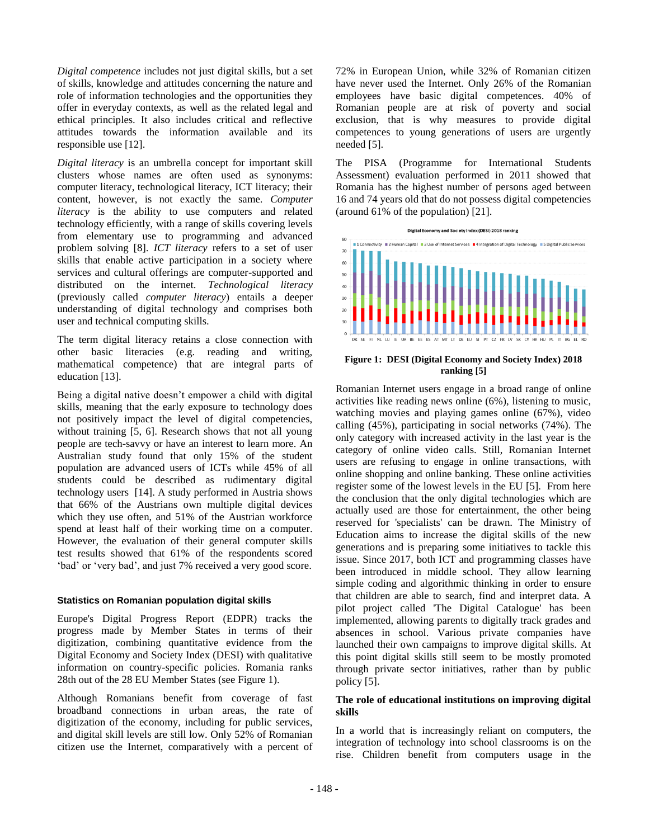*Digital competence* includes not just digital skills, but a set of skills, knowledge and attitudes concerning the nature and role of information technologies and the opportunities they offer in everyday contexts, as well as the related legal and ethical principles. It also includes critical and reflective attitudes towards the information available and its responsible use [12].

*Digital literacy* is an umbrella concept for important skill clusters whose names are often used as synonyms: computer literacy, technological literacy, ICT literacy; their content, however, is not exactly the same. *Computer literacy* is the ability to use computers and related technology efficiently, with a range of skills covering levels from elementary use to programming and advanced problem solving [8]. *ICT literacy* refers to a set of user skills that enable active participation in a society where services and cultural offerings are computer-supported and distributed on the internet. *Technological literacy* (previously called *computer literacy*) entails a deeper understanding of digital technology and comprises both user and technical computing skills.

The term digital literacy retains a close connection with other basic literacies (e.g. reading and writing, mathematical competence) that are integral parts of education [13].

Being a digital native doesn't empower a child with digital skills, meaning that the early exposure to technology does not positively impact the level of digital competencies, without training [5, 6]. Research shows that not all young people are tech-savvy or have an interest to learn more. An Australian study found that only 15% of the student population are advanced users of ICTs while 45% of all students could be described as rudimentary digital technology users [14]. A study performed in Austria shows that 66% of the Austrians own multiple digital devices which they use often, and 51% of the Austrian workforce spend at least half of their working time on a computer. However, the evaluation of their general computer skills test results showed that 61% of the respondents scored 'bad' or 'very bad', and just 7% received a very good score.

#### **Statistics on Romanian population digital skills**

Europe's Digital Progress Report (EDPR) tracks the progress made by Member States in terms of their digitization, combining quantitative evidence from the Digital Economy and Society Index (DESI) with qualitative information on country-specific policies. Romania ranks 28th out of the 28 EU Member States (see Figure 1).

Although Romanians benefit from coverage of fast broadband connections in urban areas, the rate of digitization of the economy, including for public services, and digital skill levels are still low. Only 52% of Romanian citizen use the Internet, comparatively with a percent of

72% in European Union, while 32% of Romanian citizen have never used the Internet. Only 26% of the Romanian employees have basic digital competences. 40% of Romanian people are at risk of poverty and social exclusion, that is why measures to provide digital competences to young generations of users are urgently needed [5].

The PISA (Programme for International Students Assessment) evaluation performed in 2011 showed that Romania has the highest number of persons aged between 16 and 74 years old that do not possess digital competencies (around 61% of the population) [21].



**Figure 1: DESI (Digital Economy and Society Index) 2018 ranking [5]**

Romanian Internet users engage in a broad range of online activities like reading news online (6%), listening to music, watching movies and playing games online (67%), video calling (45%), participating in social networks (74%). The only category with increased activity in the last year is the category of online video calls. Still, Romanian Internet users are refusing to engage in online transactions, with online shopping and online banking. These online activities register some of the lowest levels in the EU [5]. From here the conclusion that the only digital technologies which are actually used are those for entertainment, the other being reserved for 'specialists' can be drawn. The Ministry of Education aims to increase the digital skills of the new generations and is preparing some initiatives to tackle this issue. Since 2017, both ICT and programming classes have been introduced in middle school. They allow learning simple coding and algorithmic thinking in order to ensure that children are able to search, find and interpret data. A pilot project called 'The Digital Catalogue' has been implemented, allowing parents to digitally track grades and absences in school. Various private companies have launched their own campaigns to improve digital skills. At this point digital skills still seem to be mostly promoted through private sector initiatives, rather than by public policy [5].

## **The role of educational institutions on improving digital skills**

In a world that is increasingly reliant on computers, the integration of technology into school classrooms is on the rise. Children benefit from computers usage in the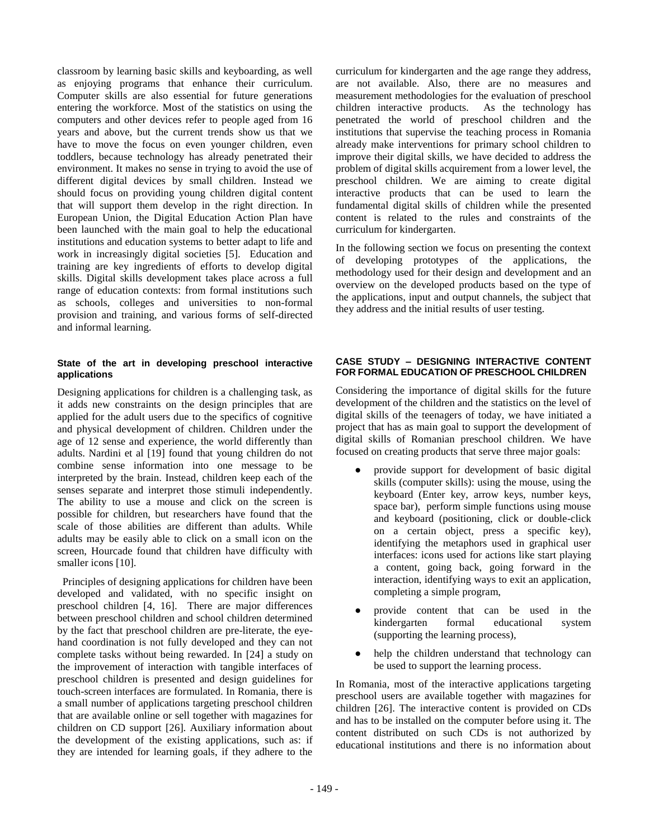classroom by learning basic skills and keyboarding, as well as enjoying programs that enhance their curriculum. Computer skills are also essential for future generations entering the workforce. Most of the statistics on using the computers and other devices refer to people aged from 16 years and above, but the current trends show us that we have to move the focus on even younger children, even toddlers, because technology has already penetrated their environment. It makes no sense in trying to avoid the use of different digital devices by small children. Instead we should focus on providing young children digital content that will support them develop in the right direction. In European Union, the Digital Education Action Plan have been launched with the main goal to help the educational institutions and education systems to better adapt to life and work in increasingly digital societies [5]. Education and training are key ingredients of efforts to develop digital skills. Digital skills development takes place across a full range of education contexts: from formal institutions such as schools, colleges and universities to non-formal provision and training, and various forms of self-directed and informal learning.

#### **State of the art in developing preschool interactive applications**

Designing applications for children is a challenging task, as it adds new constraints on the design principles that are applied for the adult users due to the specifics of cognitive and physical development of children. Children under the age of 12 sense and experience, the world differently than adults. Nardini et al [19] found that young children do not combine sense information into one message to be interpreted by the brain. Instead, children keep each of the senses separate and interpret those stimuli independently. The ability to use a mouse and click on the screen is possible for children, but researchers have found that the scale of those abilities are different than adults. While adults may be easily able to click on a small icon on the screen, Hourcade found that children have difficulty with smaller icons [10].

 Principles of designing applications for children have been developed and validated, with no specific insight on preschool children [4, 16]. There are major differences between preschool children and school children determined by the fact that preschool children are pre-literate, the eyehand coordination is not fully developed and they can not complete tasks without being rewarded. In [24] a study on the improvement of interaction with tangible interfaces of preschool children is presented and design guidelines for touch-screen interfaces are formulated. In Romania, there is a small number of applications targeting preschool children that are available online or sell together with magazines for children on CD support [26]. Auxiliary information about the development of the existing applications, such as: if they are intended for learning goals, if they adhere to the

curriculum for kindergarten and the age range they address, are not available. Also, there are no measures and measurement methodologies for the evaluation of preschool children interactive products. As the technology has penetrated the world of preschool children and the institutions that supervise the teaching process in Romania already make interventions for primary school children to improve their digital skills, we have decided to address the problem of digital skills acquirement from a lower level, the preschool children. We are aiming to create digital interactive products that can be used to learn the fundamental digital skills of children while the presented content is related to the rules and constraints of the curriculum for kindergarten.

In the following section we focus on presenting the context of developing prototypes of the applications, the methodology used for their design and development and an overview on the developed products based on the type of the applications, input and output channels, the subject that they address and the initial results of user testing.

### **CASE STUDY – DESIGNING INTERACTIVE CONTENT FOR FORMAL EDUCATION OF PRESCHOOL CHILDREN**

Considering the importance of digital skills for the future development of the children and the statistics on the level of digital skills of the teenagers of today, we have initiated a project that has as main goal to support the development of digital skills of Romanian preschool children. We have focused on creating products that serve three major goals:

- provide support for development of basic digital skills (computer skills): using the mouse, using the keyboard (Enter key, arrow keys, number keys, space bar), perform simple functions using mouse and keyboard (positioning, click or double-click on a certain object, press a specific key), identifying the metaphors used in graphical user interfaces: icons used for actions like start playing a content, going back, going forward in the interaction, identifying ways to exit an application, completing a simple program,
- provide content that can be used in the kindergarten formal educational system (supporting the learning process),
- help the children understand that technology can be used to support the learning process.

In Romania, most of the interactive applications targeting preschool users are available together with magazines for children [26]. The interactive content is provided on CDs and has to be installed on the computer before using it. The content distributed on such CDs is not authorized by educational institutions and there is no information about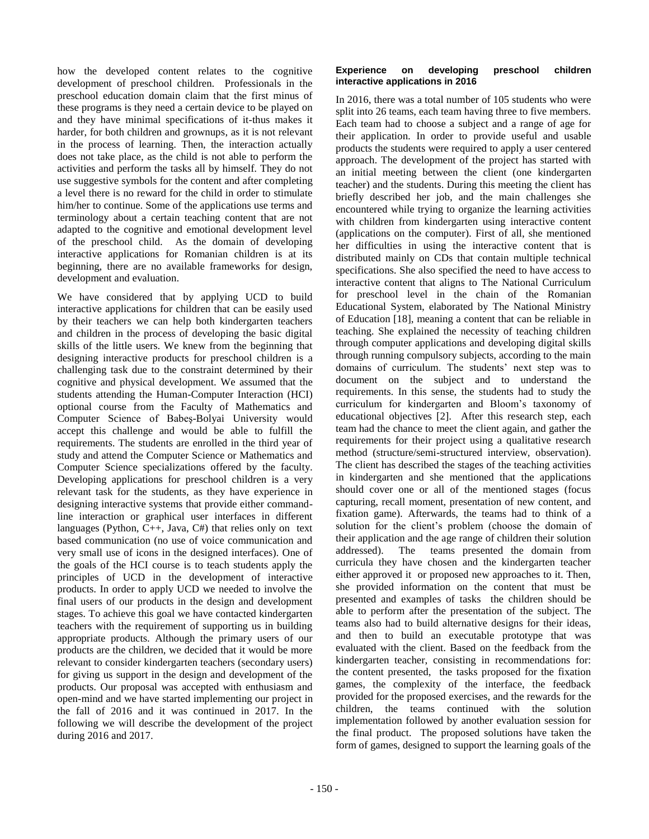how the developed content relates to the cognitive development of preschool children. Professionals in the preschool education domain claim that the first minus of these programs is they need a certain device to be played on and they have minimal specifications of it-thus makes it harder, for both children and grownups, as it is not relevant in the process of learning. Then, the interaction actually does not take place, as the child is not able to perform the activities and perform the tasks all by himself. They do not use suggestive symbols for the content and after completing a level there is no reward for the child in order to stimulate him/her to continue. Some of the applications use terms and terminology about a certain teaching content that are not adapted to the cognitive and emotional development level of the preschool child. As the domain of developing interactive applications for Romanian children is at its beginning, there are no available frameworks for design, development and evaluation.

We have considered that by applying UCD to build interactive applications for children that can be easily used by their teachers we can help both kindergarten teachers and children in the process of developing the basic digital skills of the little users. We knew from the beginning that designing interactive products for preschool children is a challenging task due to the constraint determined by their cognitive and physical development. We assumed that the students attending the Human-Computer Interaction (HCI) optional course from the Faculty of Mathematics and Computer Science of Babeş-Bolyai University would accept this challenge and would be able to fulfill the requirements. The students are enrolled in the third year of study and attend the Computer Science or Mathematics and Computer Science specializations offered by the faculty. Developing applications for preschool children is a very relevant task for the students, as they have experience in designing interactive systems that provide either commandline interaction or graphical user interfaces in different languages (Python,  $C_{++}$ , Java,  $C_{+}$ ) that relies only on text based communication (no use of voice communication and very small use of icons in the designed interfaces). One of the goals of the HCI course is to teach students apply the principles of UCD in the development of interactive products. In order to apply UCD we needed to involve the final users of our products in the design and development stages. To achieve this goal we have contacted kindergarten teachers with the requirement of supporting us in building appropriate products. Although the primary users of our products are the children, we decided that it would be more relevant to consider kindergarten teachers (secondary users) for giving us support in the design and development of the products. Our proposal was accepted with enthusiasm and open-mind and we have started implementing our project in the fall of 2016 and it was continued in 2017. In the following we will describe the development of the project during 2016 and 2017.

#### **Experience on developing preschool children interactive applications in 2016**

In 2016, there was a total number of 105 students who were split into 26 teams, each team having three to five members. Each team had to choose a subject and a range of age for their application. In order to provide useful and usable products the students were required to apply a user centered approach. The development of the project has started with an initial meeting between the client (one kindergarten teacher) and the students. During this meeting the client has briefly described her job, and the main challenges she encountered while trying to organize the learning activities with children from kindergarten using interactive content (applications on the computer). First of all, she mentioned her difficulties in using the interactive content that is distributed mainly on CDs that contain multiple technical specifications. She also specified the need to have access to interactive content that aligns to The National Curriculum for preschool level in the chain of the Romanian Educational System, elaborated by The National Ministry of Education [18], meaning a content that can be reliable in teaching. She explained the necessity of teaching children through computer applications and developing digital skills through running compulsory subjects, according to the main domains of curriculum. The students' next step was to document on the subject and to understand the requirements. In this sense, the students had to study the curriculum for kindergarten and Bloom's taxonomy of educational objectives [2]. After this research step, each team had the chance to meet the client again, and gather the requirements for their project using a qualitative research method (structure/semi-structured interview, observation). The client has described the stages of the teaching activities in kindergarten and she mentioned that the applications should cover one or all of the mentioned stages (focus capturing, recall moment, presentation of new content, and fixation game). Afterwards, the teams had to think of a solution for the client's problem (choose the domain of their application and the age range of children their solution addressed). The teams presented the domain from curricula they have chosen and the kindergarten teacher either approved it or proposed new approaches to it. Then, she provided information on the content that must be presented and examples of tasks the children should be able to perform after the presentation of the subject. The teams also had to build alternative designs for their ideas, and then to build an executable prototype that was evaluated with the client. Based on the feedback from the kindergarten teacher, consisting in recommendations for: the content presented, the tasks proposed for the fixation games, the complexity of the interface, the feedback provided for the proposed exercises, and the rewards for the children, the teams continued with the solution implementation followed by another evaluation session for the final product. The proposed solutions have taken the form of games, designed to support the learning goals of the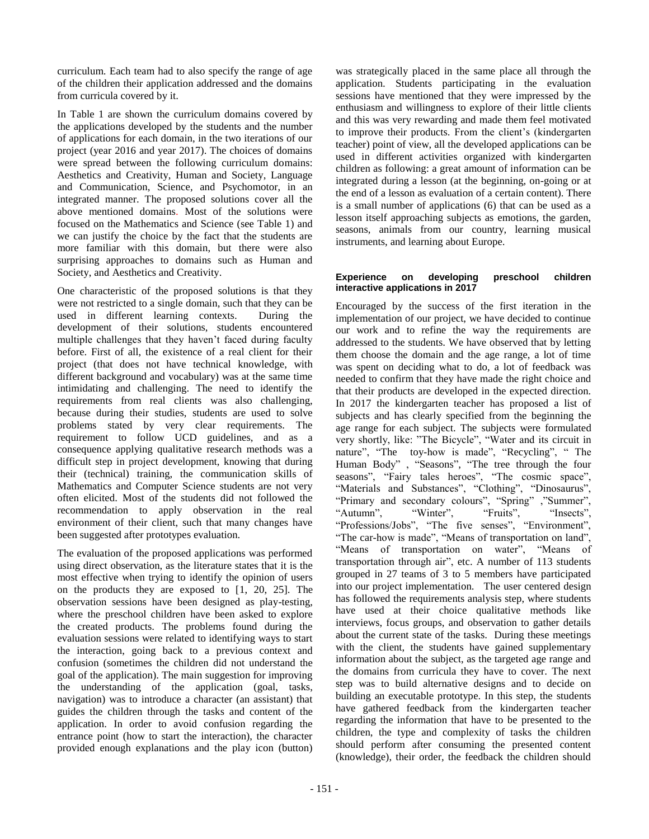curriculum. Each team had to also specify the range of age of the children their application addressed and the domains from curricula covered by it.

In Table 1 are shown the curriculum domains covered by the applications developed by the students and the number of applications for each domain, in the two iterations of our project (year 2016 and year 2017). The choices of domains were spread between the following curriculum domains: Aesthetics and Creativity, Human and Society, Language and Communication, Science, and Psychomotor, in an integrated manner. The proposed solutions cover all the above mentioned domains. Most of the solutions were focused on the Mathematics and Science (see Table 1) and we can justify the choice by the fact that the students are more familiar with this domain, but there were also surprising approaches to domains such as Human and Society, and Aesthetics and Creativity.

One characteristic of the proposed solutions is that they were not restricted to a single domain, such that they can be used in different learning contexts. During the development of their solutions, students encountered multiple challenges that they haven't faced during faculty before. First of all, the existence of a real client for their project (that does not have technical knowledge, with different background and vocabulary) was at the same time intimidating and challenging. The need to identify the requirements from real clients was also challenging, because during their studies, students are used to solve problems stated by very clear requirements. The requirement to follow UCD guidelines, and as a consequence applying qualitative research methods was a difficult step in project development, knowing that during their (technical) training, the communication skills of Mathematics and Computer Science students are not very often elicited. Most of the students did not followed the recommendation to apply observation in the real environment of their client, such that many changes have been suggested after prototypes evaluation.

The evaluation of the proposed applications was performed using direct observation, as the literature states that it is the most effective when trying to identify the opinion of users on the products they are exposed to [1, 20, 25]. The observation sessions have been designed as play-testing, where the preschool children have been asked to explore the created products. The problems found during the evaluation sessions were related to identifying ways to start the interaction, going back to a previous context and confusion (sometimes the children did not understand the goal of the application). The main suggestion for improving the understanding of the application (goal, tasks, navigation) was to introduce a character (an assistant) that guides the children through the tasks and content of the application. In order to avoid confusion regarding the entrance point (how to start the interaction), the character provided enough explanations and the play icon (button)

was strategically placed in the same place all through the application. Students participating in the evaluation sessions have mentioned that they were impressed by the enthusiasm and willingness to explore of their little clients and this was very rewarding and made them feel motivated to improve their products. From the client's (kindergarten teacher) point of view, all the developed applications can be used in different activities organized with kindergarten children as following: a great amount of information can be integrated during a lesson (at the beginning, on-going or at the end of a lesson as evaluation of a certain content). There is a small number of applications (6) that can be used as a lesson itself approaching subjects as emotions, the garden, seasons, animals from our country, learning musical instruments, and learning about Europe.

#### **Experience on developing preschool children interactive applications in 2017**

Encouraged by the success of the first iteration in the implementation of our project, we have decided to continue our work and to refine the way the requirements are addressed to the students. We have observed that by letting them choose the domain and the age range, a lot of time was spent on deciding what to do, a lot of feedback was needed to confirm that they have made the right choice and that their products are developed in the expected direction. In 2017 the kindergarten teacher has proposed a list of subjects and has clearly specified from the beginning the age range for each subject. The subjects were formulated very shortly, like: "The Bicycle", "Water and its circuit in nature", "The toy-how is made", "Recycling", " The Human Body" , "Seasons", "The tree through the four seasons", "Fairy tales heroes", "The cosmic space", "Materials and Substances", "Clothing", "Dinosaurus", "Primary and secondary colours", "Spring" ,"Summer",<br>"Autumn", "Winter", "Fruits", "Insects", "Autumn", "Winter", "Fruits", "Insects", "Professions/Jobs", "The five senses", "Environment", "The car-how is made", "Means of transportation on land", "Means of transportation on water", "Means of transportation through air", etc. A number of 113 students grouped in 27 teams of 3 to 5 members have participated into our project implementation. The user centered design has followed the requirements analysis step, where students have used at their choice qualitative methods like interviews, focus groups, and observation to gather details about the current state of the tasks. During these meetings with the client, the students have gained supplementary information about the subject, as the targeted age range and the domains from curricula they have to cover. The next step was to build alternative designs and to decide on building an executable prototype. In this step, the students have gathered feedback from the kindergarten teacher regarding the information that have to be presented to the children, the type and complexity of tasks the children should perform after consuming the presented content (knowledge), their order, the feedback the children should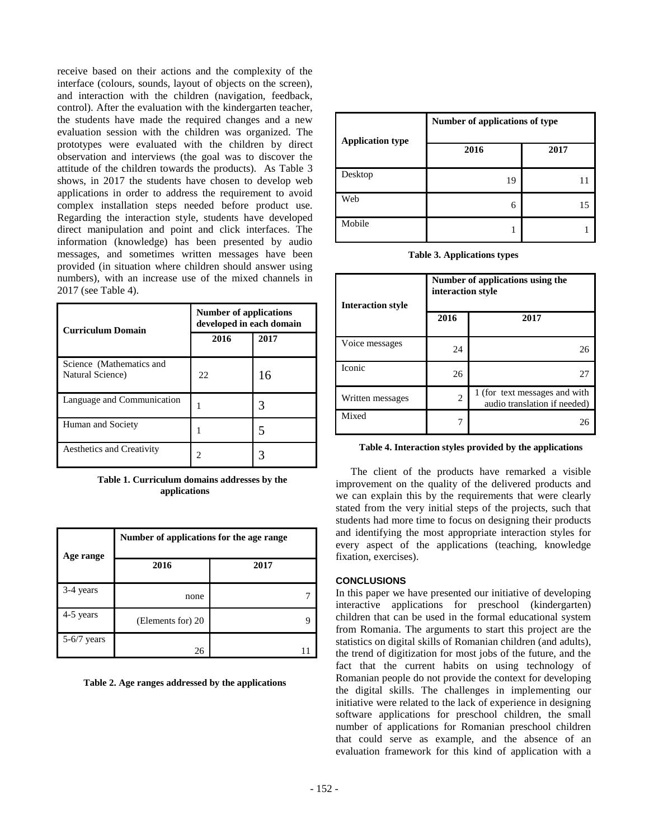receive based on their actions and the complexity of the interface (colours, sounds, layout of objects on the screen), and interaction with the children (navigation, feedback, control). After the evaluation with the kindergarten teacher, the students have made the required changes and a new evaluation session with the children was organized. The prototypes were evaluated with the children by direct observation and interviews (the goal was to discover the attitude of the children towards the products). As Table 3 shows, in 2017 the students have chosen to develop web applications in order to address the requirement to avoid complex installation steps needed before product use. Regarding the interaction style, students have developed direct manipulation and point and click interfaces. The information (knowledge) has been presented by audio messages, and sometimes written messages have been provided (in situation where children should answer using numbers), with an increase use of the mixed channels in 2017 (see Table 4).

| <b>Curriculum Domain</b>                     | <b>Number of applications</b><br>developed in each domain |      |
|----------------------------------------------|-----------------------------------------------------------|------|
|                                              | 2016                                                      | 2017 |
| Science (Mathematics and<br>Natural Science) | 22                                                        | 16   |
| Language and Communication                   |                                                           |      |
| Human and Society                            |                                                           |      |
| <b>Aesthetics and Creativity</b>             |                                                           |      |

**Table 1. Curriculum domains addresses by the applications**

| Age range     | Number of applications for the age range |      |  |
|---------------|------------------------------------------|------|--|
|               | 2016                                     | 2017 |  |
| 3-4 years     | none                                     |      |  |
| 4-5 years     | (Elements for) 20                        |      |  |
| $5-6/7$ years | 26                                       |      |  |

**Table 2. Age ranges addressed by the applications**

| <b>Application type</b> | Number of applications of type |      |  |
|-------------------------|--------------------------------|------|--|
|                         | 2016                           | 2017 |  |
| Desktop                 | 19                             |      |  |
| Web                     | 6                              | 15   |  |
| Mobile                  |                                |      |  |

**Table 3. Applications types**

| <b>Interaction style</b> | Number of applications using the<br>interaction style |                                                               |
|--------------------------|-------------------------------------------------------|---------------------------------------------------------------|
|                          | 2016                                                  | 2017                                                          |
| Voice messages           | 24                                                    | 26                                                            |
| Iconic                   | 26                                                    | 27                                                            |
| Written messages         | $\overline{c}$                                        | 1 (for text messages and with<br>audio translation if needed) |
| Mixed                    |                                                       | 26                                                            |

#### **Table 4. Interaction styles provided by the applications**

The client of the products have remarked a visible improvement on the quality of the delivered products and we can explain this by the requirements that were clearly stated from the very initial steps of the projects, such that students had more time to focus on designing their products and identifying the most appropriate interaction styles for every aspect of the applications (teaching, knowledge fixation, exercises).

#### **CONCLUSIONS**

In this paper we have presented our initiative of developing interactive applications for preschool (kindergarten) children that can be used in the formal educational system from Romania. The arguments to start this project are the statistics on digital skills of Romanian children (and adults), the trend of digitization for most jobs of the future, and the fact that the current habits on using technology of Romanian people do not provide the context for developing the digital skills. The challenges in implementing our initiative were related to the lack of experience in designing software applications for preschool children, the small number of applications for Romanian preschool children that could serve as example, and the absence of an evaluation framework for this kind of application with a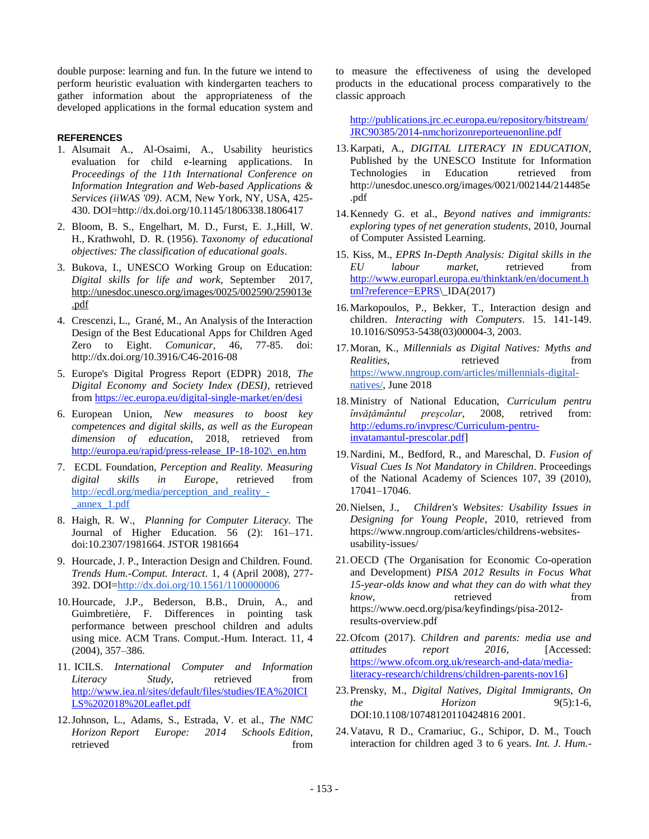double purpose: learning and fun. In the future we intend to perform heuristic evaluation with kindergarten teachers to gather information about the appropriateness of the developed applications in the formal education system and

### **REFERENCES**

- 1. Alsumait A., Al-Osaimi, A., Usability heuristics evaluation for child e-learning applications. In *Proceedings of the 11th International Conference on Information Integration and Web-based Applications & Services (iiWAS '09)*. ACM, New York, NY, USA, 425- 430. DOI=http://dx.doi.org/10.1145/1806338.1806417
- 2. Bloom, B. S., Engelhart, M. D., Furst, E. J.,Hill, W. H., Krathwohl, D. R. (1956). *Taxonomy of educational objectives: The classification of educational goals*.
- 3. Bukova, I., UNESCO Working Group on Education: *Digital skills for life and work*, September 2017, [http://unesdoc.unesco.org/images/0025/002590/259013e](http://unesdoc.unesco.org/images/0025/002590/259013e.pdf) [.pdf](http://unesdoc.unesco.org/images/0025/002590/259013e.pdf)
- 4. Crescenzi, L., Grané, M., An Analysis of the Interaction Design of the Best Educational Apps for Children Aged Zero to Eight. *Comunicar,* 46, 77-85. doi: http://dx.doi.org/10.3916/C46-2016-08
- 5. Europe's Digital Progress Report (EDPR) 2018, *The Digital Economy and Society Index (DESI)*, retrieved fro[m https://ec.europa.eu/digital-single-market/en/desi](https://ec.europa.eu/digital-single-market/en/desi)
- 6. European Union, *New measures to boost key competences and digital skills, as well as the European dimension of education*, 2018, retrieved from http://europa.eu/rapid/press-release IP-18-102\ en.htm
- 7. ECDL Foundation*, Perception and Reality. Measuring digital skills in Europe*, retrieved from [http://ecdl.org/media/perception\\_and\\_reality\\_-](http://ecdl.org/media/perception_and_reality_-_annex_1.pdf) [\\_annex\\_1.pdf](http://ecdl.org/media/perception_and_reality_-_annex_1.pdf)
- 8. Haigh, R. W., *Planning for Computer Literacy.* The Journal of Higher Education. 56 (2): 161–171. doi:10.2307/1981664. JSTOR 1981664
- 9. Hourcade, J. P., Interaction Design and Children. Found. *Trends Hum.-Comput. Interact*. 1, 4 (April 2008), 277- 392. DOI[=http://dx.doi.org/10.1561/1100000006](http://dx.doi.org/10.1561/1100000006)
- 10.Hourcade, J.P., Bederson, B.B., Druin, A., and Guimbretière, F. Differences in pointing task performance between preschool children and adults using mice. ACM Trans. Comput.-Hum. Interact. 11, 4 (2004), 357–386.
- 11. ICILS. *International Computer and Information Literacy Study*, retrieved from [http://www.iea.nl/sites/default/files/studies/IEA%20ICI](http://www.iea.nl/sites/default/files/studies/IEA%20ICILS%202018%20Leaflet.pdf) [LS%202018%20Leaflet.pdf](http://www.iea.nl/sites/default/files/studies/IEA%20ICILS%202018%20Leaflet.pdf)
- 12.Johnson, L., Adams, S., Estrada, V. et al., *The NMC Horizon Report Europe: 2014 Schools Edition*, retrieved from  $\sim$

to measure the effectiveness of using the developed products in the educational process comparatively to the classic approach

[http://publications.jrc.ec.europa.eu/repository/bitstream/](http://publications.jrc.ec.europa.eu/repository/bitstream/JRC90385/2014-nmchorizonreporteuenonline.pdf) [JRC90385/2014-nmchorizonreporteuenonline.pdf](http://publications.jrc.ec.europa.eu/repository/bitstream/JRC90385/2014-nmchorizonreporteuenonline.pdf)

- 13.Karpati, A., *DIGITAL LITERACY IN EDUCATION*, Published by the UNESCO Institute for Information Technologies in Education retrieved from http://unesdoc.unesco.org/images/0021/002144/214485e .pdf
- 14.Kennedy G. et al., *Beyond natives and immigrants: exploring types of net generation students*, 2010, Journal of Computer Assisted Learning.
- 15. Kiss, M., *EPRS In-Depth Analysis: Digital skills in the EU labour market,* retrieved from [http://www.europarl.europa.eu/thinktank/en/document.h](http://www.europarl.europa.eu/thinktank/en/document.html?reference=EPRS) [tml?reference=EPRS\](http://www.europarl.europa.eu/thinktank/en/document.html?reference=EPRS)\_IDA(2017)
- 16.Markopoulos, P., Bekker, T., Interaction design and children. *Interacting with Computers*. 15. 141-149. 10.1016/S0953-5438(03)00004-3, 2003.
- 17.Moran, K., *Millennials as Digital Natives: Myths and Realities*, retrieved from [https://www.nngroup.com/articles/millennials-digital](https://www.nngroup.com/articles/millennials-digital-natives/)[natives/,](https://www.nngroup.com/articles/millennials-digital-natives/) June 2018
- 18.Ministry of National Education, *Curriculum pentru ȋnvǎțǎmȃntul preșcolar*, 2008, retrived from: [http://edums.ro/invpresc/Curriculum-pentru](http://edums.ro/invpresc/Curriculum-pentru-invatamantul-prescolar.pdf)[invatamantul-prescolar.pdf\]](http://edums.ro/invpresc/Curriculum-pentru-invatamantul-prescolar.pdf)
- 19.Nardini, M., Bedford, R., and Mareschal, D. *Fusion of Visual Cues Is Not Mandatory in Children*. Proceedings of the National Academy of Sciences 107, 39 (2010), 17041–17046.
- 20.Nielsen, J., *Children's Websites: Usability Issues in Designing for Young People*, 2010, retrieved from https://www.nngroup.com/articles/childrens-websitesusability-issues/
- 21.OECD (The Organisation for Economic Co-operation and Development) *PISA 2012 Results in Focus What 15-year-olds know and what they can do with what they know*, retrieved from https://www.oecd.org/pisa/keyfindings/pisa-2012 results-overview.pdf
- 22.Ofcom (2017). *Children and parents: media use and attitudes report 2016,* [Accessed: [https://www.ofcom.org.uk/research-and-data/media](https://www.ofcom.org.uk/research-and-data/media-literacy-research/childrens/children-parents-nov16)[literacy-research/childrens/children-parents-nov16\]](https://www.ofcom.org.uk/research-and-data/media-literacy-research/childrens/children-parents-nov16)
- 23.Prensky, M., *Digital Natives, Digital Immigrants, On the Horizon* 9(5):1-6, DOI:10.1108/10748120110424816 2001.
- 24.Vatavu, R D., Cramariuc, G., Schipor, D. M., Touch interaction for children aged 3 to 6 years. *Int. J. Hum.-*